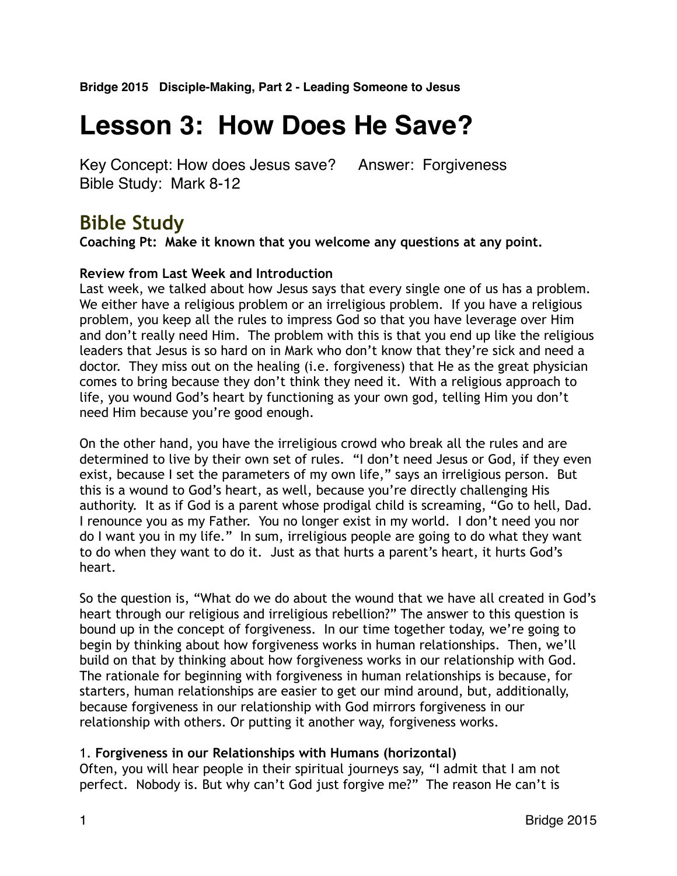# **Lesson 3: How Does He Save?**

Key Concept: How does Jesus save? Answer: Forgiveness Bible Study: Mark 8-12

# **Bible Study**

**Coaching Pt: Make it known that you welcome any questions at any point.**

# **Review from Last Week and Introduction**

Last week, we talked about how Jesus says that every single one of us has a problem. We either have a religious problem or an irreligious problem. If you have a religious problem, you keep all the rules to impress God so that you have leverage over Him and don't really need Him. The problem with this is that you end up like the religious leaders that Jesus is so hard on in Mark who don't know that they're sick and need a doctor. They miss out on the healing (i.e. forgiveness) that He as the great physician comes to bring because they don't think they need it. With a religious approach to life, you wound God's heart by functioning as your own god, telling Him you don't need Him because you're good enough.

On the other hand, you have the irreligious crowd who break all the rules and are determined to live by their own set of rules. "I don't need Jesus or God, if they even exist, because I set the parameters of my own life," says an irreligious person. But this is a wound to God's heart, as well, because you're directly challenging His authority. It as if God is a parent whose prodigal child is screaming, "Go to hell, Dad. I renounce you as my Father. You no longer exist in my world. I don't need you nor do I want you in my life." In sum, irreligious people are going to do what they want to do when they want to do it. Just as that hurts a parent's heart, it hurts God's heart.

So the question is, "What do we do about the wound that we have all created in God's heart through our religious and irreligious rebellion?" The answer to this question is bound up in the concept of forgiveness. In our time together today, we're going to begin by thinking about how forgiveness works in human relationships. Then, we'll build on that by thinking about how forgiveness works in our relationship with God. The rationale for beginning with forgiveness in human relationships is because, for starters, human relationships are easier to get our mind around, but, additionally, because forgiveness in our relationship with God mirrors forgiveness in our relationship with others. Or putting it another way, forgiveness works.

# 1. **Forgiveness in our Relationships with Humans (horizontal)**

Often, you will hear people in their spiritual journeys say, "I admit that I am not perfect. Nobody is. But why can't God just forgive me?" The reason He can't is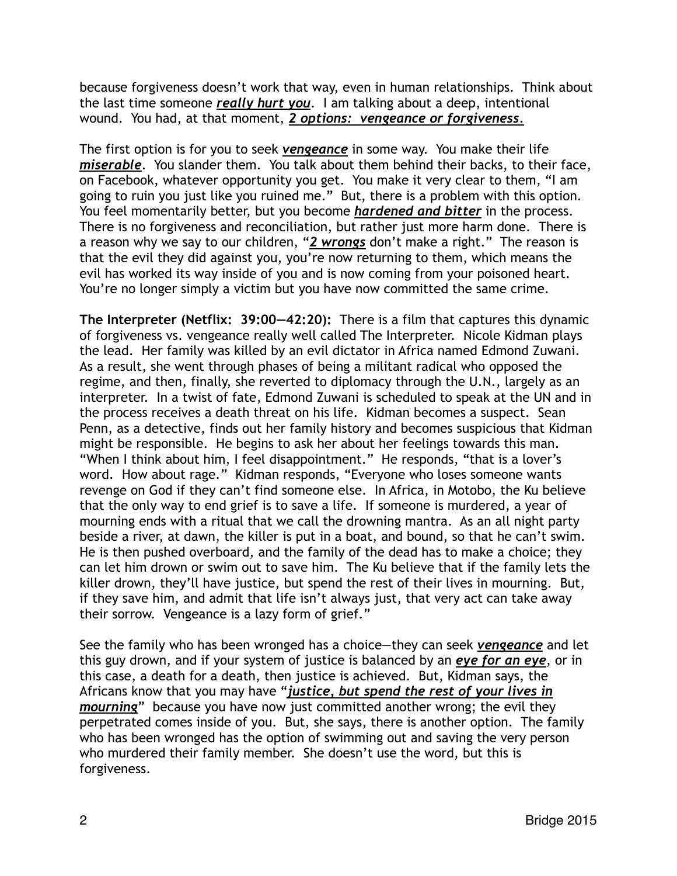because forgiveness doesn't work that way, even in human relationships. Think about the last time someone *really hurt you*. I am talking about a deep, intentional wound. You had, at that moment, *2 options: vengeance or forgiveness.*

The first option is for you to seek *vengeance* in some way. You make their life *miserable*. You slander them. You talk about them behind their backs, to their face, on Facebook, whatever opportunity you get. You make it very clear to them, "I am going to ruin you just like you ruined me." But, there is a problem with this option. You feel momentarily better, but you become *hardened and bitter* in the process. There is no forgiveness and reconciliation, but rather just more harm done. There is a reason why we say to our children, "*2 wrongs* don't make a right." The reason is that the evil they did against you, you're now returning to them, which means the evil has worked its way inside of you and is now coming from your poisoned heart. You're no longer simply a victim but you have now committed the same crime.

**The Interpreter (Netflix: 39:00—42:20):** There is a film that captures this dynamic of forgiveness vs. vengeance really well called The Interpreter. Nicole Kidman plays the lead. Her family was killed by an evil dictator in Africa named Edmond Zuwani. As a result, she went through phases of being a militant radical who opposed the regime, and then, finally, she reverted to diplomacy through the U.N., largely as an interpreter. In a twist of fate, Edmond Zuwani is scheduled to speak at the UN and in the process receives a death threat on his life. Kidman becomes a suspect. Sean Penn, as a detective, finds out her family history and becomes suspicious that Kidman might be responsible. He begins to ask her about her feelings towards this man. "When I think about him, I feel disappointment." He responds, "that is a lover's word. How about rage." Kidman responds, "Everyone who loses someone wants revenge on God if they can't find someone else. In Africa, in Motobo, the Ku believe that the only way to end grief is to save a life. If someone is murdered, a year of mourning ends with a ritual that we call the drowning mantra. As an all night party beside a river, at dawn, the killer is put in a boat, and bound, so that he can't swim. He is then pushed overboard, and the family of the dead has to make a choice; they can let him drown or swim out to save him. The Ku believe that if the family lets the killer drown, they'll have justice, but spend the rest of their lives in mourning. But, if they save him, and admit that life isn't always just, that very act can take away their sorrow. Vengeance is a lazy form of grief."

See the family who has been wronged has a choice—they can seek *vengeance* and let this guy drown, and if your system of justice is balanced by an *eye for an eye*, or in this case, a death for a death, then justice is achieved. But, Kidman says, the Africans know that you may have "*justice, but spend the rest of your lives in mourning*" because you have now just committed another wrong; the evil they perpetrated comes inside of you. But, she says, there is another option. The family who has been wronged has the option of swimming out and saving the very person who murdered their family member. She doesn't use the word, but this is forgiveness.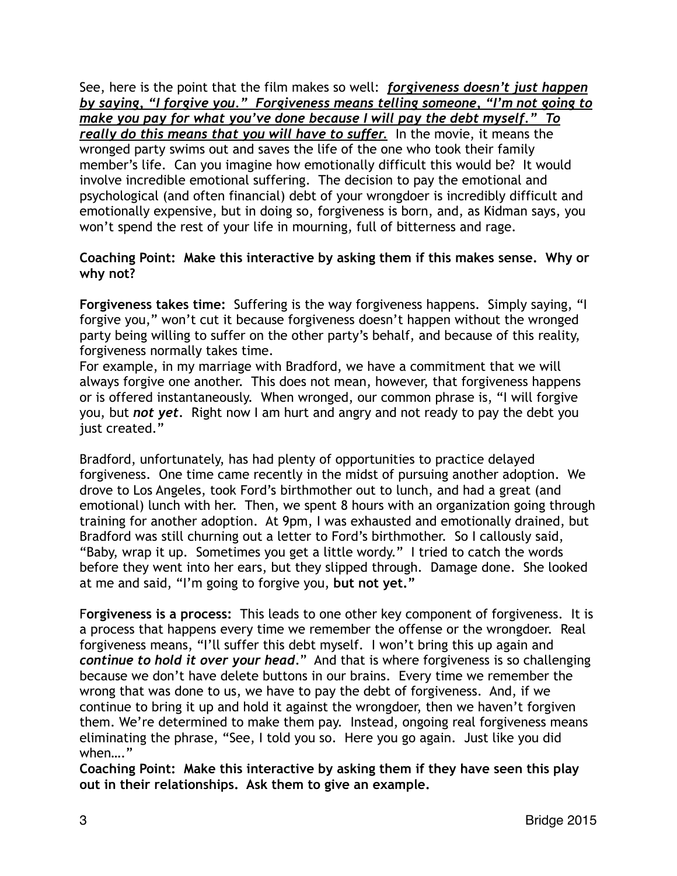See, here is the point that the film makes so well: *forgiveness doesn't just happen by saying, "I forgive you." Forgiveness means telling someone, "I'm not going to make you pay for what you've done because I will pay the debt myself." To really do this means that you will have to suffer.* In the movie, it means the wronged party swims out and saves the life of the one who took their family member's life. Can you imagine how emotionally difficult this would be? It would involve incredible emotional suffering. The decision to pay the emotional and psychological (and often financial) debt of your wrongdoer is incredibly difficult and emotionally expensive, but in doing so, forgiveness is born, and, as Kidman says, you won't spend the rest of your life in mourning, full of bitterness and rage.

### **Coaching Point: Make this interactive by asking them if this makes sense. Why or why not?**

**Forgiveness takes time:** Suffering is the way forgiveness happens. Simply saying, "I forgive you," won't cut it because forgiveness doesn't happen without the wronged party being willing to suffer on the other party's behalf, and because of this reality, forgiveness normally takes time.

For example, in my marriage with Bradford, we have a commitment that we will always forgive one another. This does not mean, however, that forgiveness happens or is offered instantaneously. When wronged, our common phrase is, "I will forgive you, but *not yet.* Right now I am hurt and angry and not ready to pay the debt you just created."

Bradford, unfortunately, has had plenty of opportunities to practice delayed forgiveness. One time came recently in the midst of pursuing another adoption. We drove to Los Angeles, took Ford's birthmother out to lunch, and had a great (and emotional) lunch with her. Then, we spent 8 hours with an organization going through training for another adoption. At 9pm, I was exhausted and emotionally drained, but Bradford was still churning out a letter to Ford's birthmother. So I callously said, "Baby, wrap it up. Sometimes you get a little wordy." I tried to catch the words before they went into her ears, but they slipped through. Damage done. She looked at me and said, "I'm going to forgive you, **but not yet."** 

F**orgiveness is a process:** This leads to one other key component of forgiveness. It is a process that happens every time we remember the offense or the wrongdoer. Real forgiveness means, "I'll suffer this debt myself. I won't bring this up again and *continue to hold it over your head.*" And that is where forgiveness is so challenging because we don't have delete buttons in our brains. Every time we remember the wrong that was done to us, we have to pay the debt of forgiveness. And, if we continue to bring it up and hold it against the wrongdoer, then we haven't forgiven them. We're determined to make them pay. Instead, ongoing real forgiveness means eliminating the phrase, "See, I told you so. Here you go again. Just like you did when…."

**Coaching Point: Make this interactive by asking them if they have seen this play out in their relationships. Ask them to give an example.**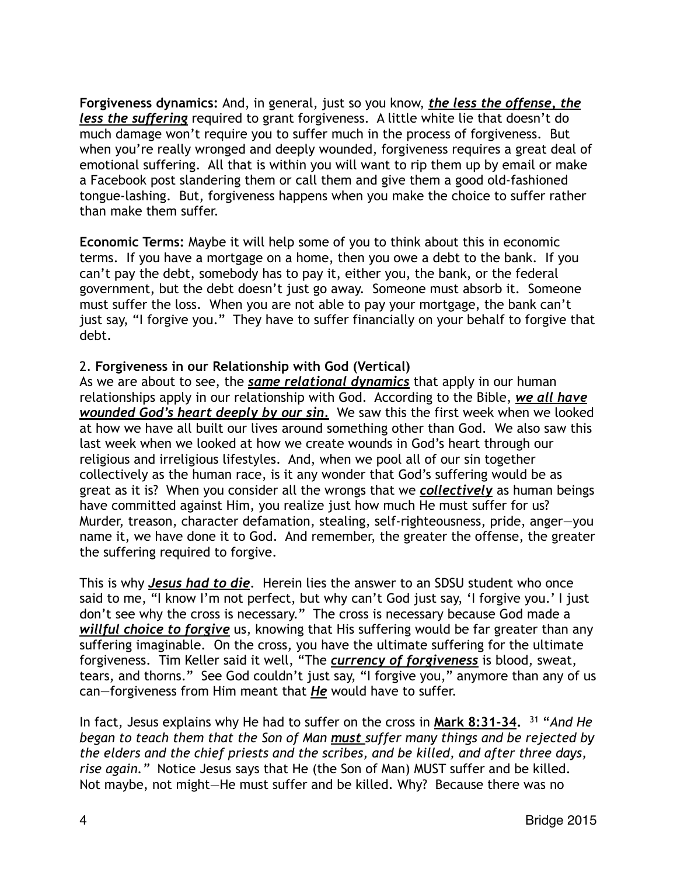**Forgiveness dynamics:** And, in general, just so you know, *the less the offense, the less the suffering* required to grant forgiveness. A little white lie that doesn't do much damage won't require you to suffer much in the process of forgiveness. But when you're really wronged and deeply wounded, forgiveness requires a great deal of emotional suffering. All that is within you will want to rip them up by email or make a Facebook post slandering them or call them and give them a good old-fashioned tongue-lashing. But, forgiveness happens when you make the choice to suffer rather than make them suffer.

**Economic Terms:** Maybe it will help some of you to think about this in economic terms. If you have a mortgage on a home, then you owe a debt to the bank. If you can't pay the debt, somebody has to pay it, either you, the bank, or the federal government, but the debt doesn't just go away. Someone must absorb it. Someone must suffer the loss. When you are not able to pay your mortgage, the bank can't just say, "I forgive you." They have to suffer financially on your behalf to forgive that debt.

#### 2. **Forgiveness in our Relationship with God (Vertical)**

As we are about to see, the *same relational dynamics* that apply in our human relationships apply in our relationship with God. According to the Bible, *we all have wounded God's heart deeply by our sin.* We saw this the first week when we looked at how we have all built our lives around something other than God. We also saw this last week when we looked at how we create wounds in God's heart through our religious and irreligious lifestyles. And, when we pool all of our sin together collectively as the human race, is it any wonder that God's suffering would be as great as it is? When you consider all the wrongs that we *collectively* as human beings have committed against Him, you realize just how much He must suffer for us? Murder, treason, character defamation, stealing, self-righteousness, pride, anger—you name it, we have done it to God. And remember, the greater the offense, the greater the suffering required to forgive.

This is why *Jesus had to die*. Herein lies the answer to an SDSU student who once said to me, "I know I'm not perfect, but why can't God just say, 'I forgive you.' I just don't see why the cross is necessary." The cross is necessary because God made a *willful choice to forgive* us, knowing that His suffering would be far greater than any suffering imaginable. On the cross, you have the ultimate suffering for the ultimate forgiveness. Tim Keller said it well, "The *currency of forgiveness* is blood, sweat, tears, and thorns." See God couldn't just say, "I forgive you," anymore than any of us can—forgiveness from Him meant that *He* would have to suffer.

In fact, Jesus explains why He had to suffer on the cross in **Mark 8:31-34.** <sup>31</sup> "*And He began to teach them that the Son of Man must suffer many things and be rejected by the elders and the chief priests and the scribes, and be killed, and after three days, rise again."* Notice Jesus says that He (the Son of Man) MUST suffer and be killed. Not maybe, not might—He must suffer and be killed. Why? Because there was no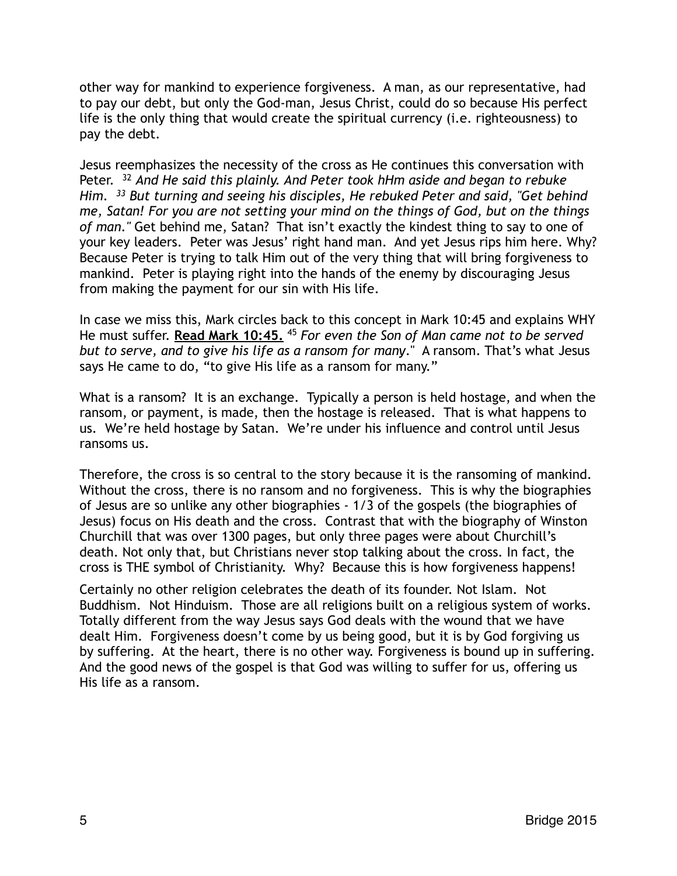other way for mankind to experience forgiveness. A man, as our representative, had to pay our debt, but only the God-man, Jesus Christ, could do so because His perfect life is the only thing that would create the spiritual currency (i.e. righteousness) to pay the debt.

Jesus reemphasizes the necessity of the cross as He continues this conversation with Peter. 32 *And He said this plainly. And Peter took hHm aside and began to rebuke Him. 33 But turning and seeing his disciples, He rebuked Peter and said, "Get behind me, Satan! For you are not setting your mind on the things of God, but on the things of man."* Get behind me, Satan? That isn't exactly the kindest thing to say to one of your key leaders. Peter was Jesus' right hand man. And yet Jesus rips him here. Why? Because Peter is trying to talk Him out of the very thing that will bring forgiveness to mankind. Peter is playing right into the hands of the enemy by discouraging Jesus from making the payment for our sin with His life.

In case we miss this, Mark circles back to this concept in Mark 10:45 and explains WHY He must suffer. **Read Mark 10:45.** <sup>45</sup> *For even the Son of Man came not to be served but to serve, and to give his life as a ransom for many*." A ransom. That's what Jesus says He came to do, "to give His life as a ransom for many."

What is a ransom? It is an exchange. Typically a person is held hostage, and when the ransom, or payment, is made, then the hostage is released. That is what happens to us. We're held hostage by Satan. We're under his influence and control until Jesus ransoms us.

Therefore, the cross is so central to the story because it is the ransoming of mankind. Without the cross, there is no ransom and no forgiveness. This is why the biographies of Jesus are so unlike any other biographies - 1/3 of the gospels (the biographies of Jesus) focus on His death and the cross. Contrast that with the biography of Winston Churchill that was over 1300 pages, but only three pages were about Churchill's death. Not only that, but Christians never stop talking about the cross. In fact, the cross is THE symbol of Christianity. Why? Because this is how forgiveness happens!

Certainly no other religion celebrates the death of its founder. Not Islam. Not Buddhism. Not Hinduism. Those are all religions built on a religious system of works. Totally different from the way Jesus says God deals with the wound that we have dealt Him. Forgiveness doesn't come by us being good, but it is by God forgiving us by suffering. At the heart, there is no other way. Forgiveness is bound up in suffering. And the good news of the gospel is that God was willing to suffer for us, offering us His life as a ransom.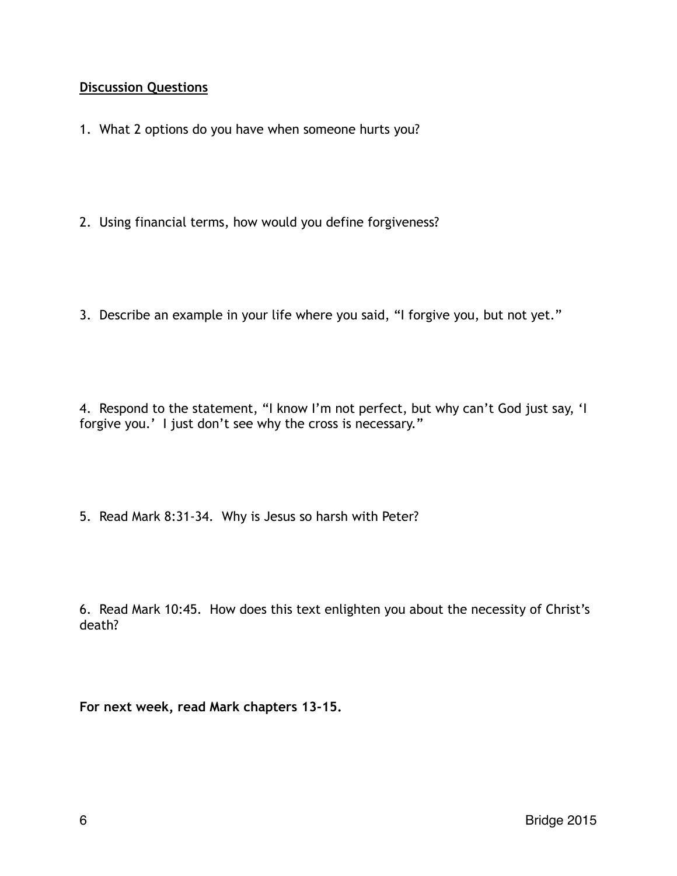## **Discussion Questions**

- 1. What 2 options do you have when someone hurts you?
- 2. Using financial terms, how would you define forgiveness?
- 3. Describe an example in your life where you said, "I forgive you, but not yet."

4. Respond to the statement, "I know I'm not perfect, but why can't God just say, 'I forgive you.' I just don't see why the cross is necessary."

5. Read Mark 8:31-34. Why is Jesus so harsh with Peter?

6. Read Mark 10:45. How does this text enlighten you about the necessity of Christ's death?

**For next week, read Mark chapters 13-15.**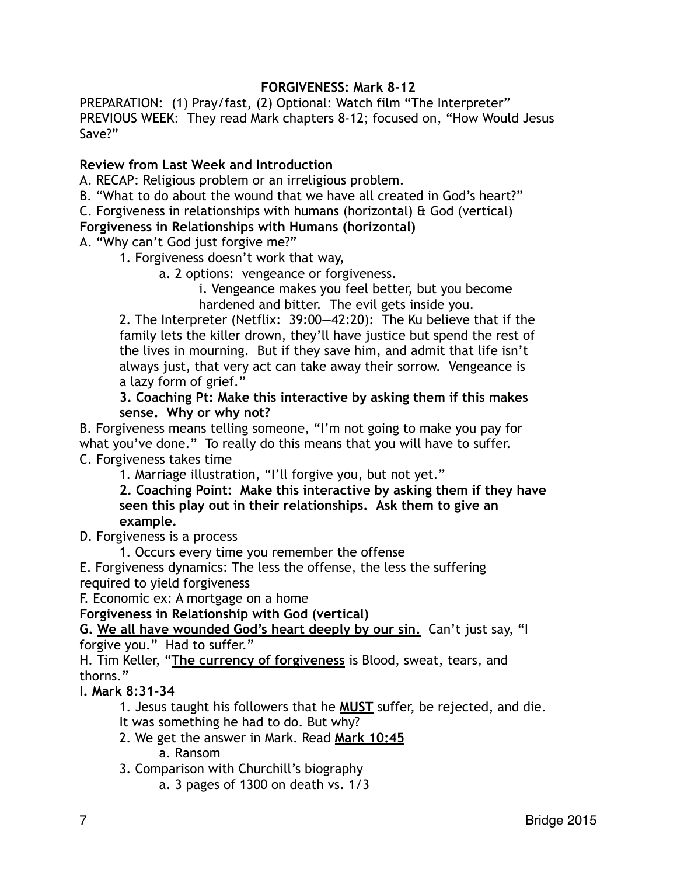## **FORGIVENESS: Mark 8-12**

PREPARATION: (1) Pray/fast, (2) Optional: Watch film "The Interpreter" PREVIOUS WEEK: They read Mark chapters 8-12; focused on, "How Would Jesus Save?"

#### **Review from Last Week and Introduction**

A. RECAP: Religious problem or an irreligious problem.

B. "What to do about the wound that we have all created in God's heart?"

C. Forgiveness in relationships with humans (horizontal)  $\theta$  God (vertical)

#### **Forgiveness in Relationships with Humans (horizontal)**

A. "Why can't God just forgive me?"

1. Forgiveness doesn't work that way,

a. 2 options: vengeance or forgiveness.

 i. Vengeance makes you feel better, but you become hardened and bitter. The evil gets inside you.

2. The Interpreter (Netflix: 39:00—42:20): The Ku believe that if the family lets the killer drown, they'll have justice but spend the rest of the lives in mourning. But if they save him, and admit that life isn't always just, that very act can take away their sorrow. Vengeance is a lazy form of grief."

**3. Coaching Pt: Make this interactive by asking them if this makes sense. Why or why not?** 

B. Forgiveness means telling someone, "I'm not going to make you pay for what you've done." To really do this means that you will have to suffer. C. Forgiveness takes time

1. Marriage illustration, "I'll forgive you, but not yet."

**2. Coaching Point: Make this interactive by asking them if they have seen this play out in their relationships. Ask them to give an example.** 

D. Forgiveness is a process

1. Occurs every time you remember the offense

E. Forgiveness dynamics: The less the offense, the less the suffering required to yield forgiveness

F. Economic ex: A mortgage on a home

**Forgiveness in Relationship with God (vertical)** 

**G. We all have wounded God's heart deeply by our sin.** Can't just say, "I

forgive you." Had to suffer."

H. Tim Keller, "**The currency of forgiveness** is Blood, sweat, tears, and thorns."

#### **I. Mark 8:31-34**

1. Jesus taught his followers that he **MUST** suffer, be rejected, and die.

- It was something he had to do. But why?
- 2. We get the answer in Mark. Read **Mark 10:45** a. Ransom

3. Comparison with Churchill's biography

a. 3 pages of 1300 on death vs. 1/3